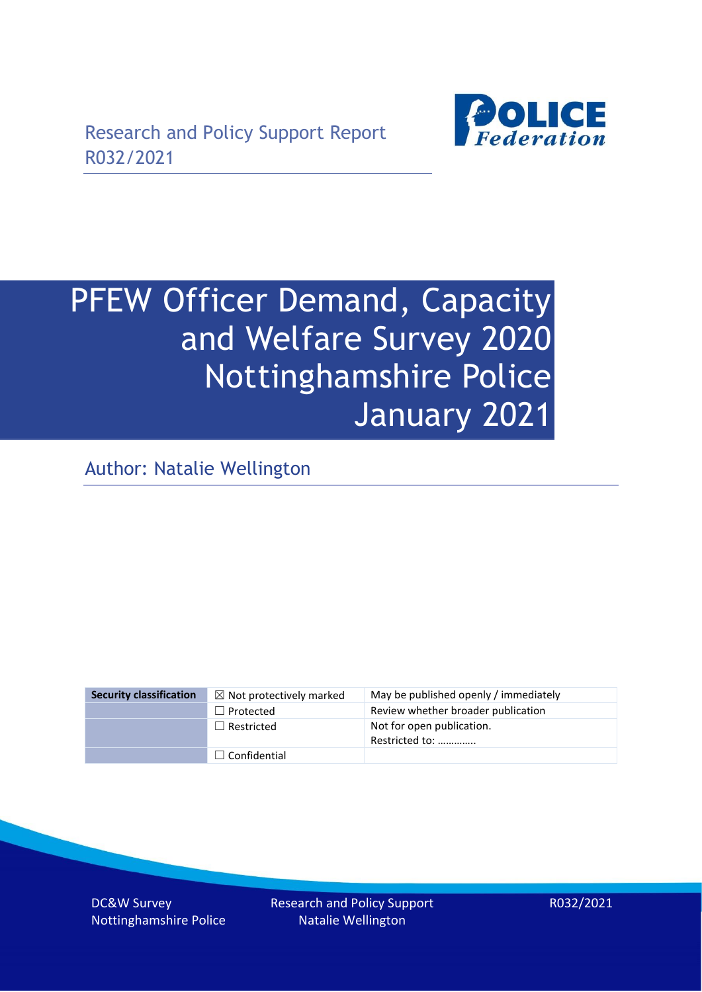

# PFEW Officer Demand, Capacity and Welfare Survey 2020 Nottinghamshire Police January 2021

Author: Natalie Wellington

| <b>Security classification</b> | $\boxtimes$ Not protectively marked | May be published openly / immediately       |
|--------------------------------|-------------------------------------|---------------------------------------------|
|                                | $\Box$ Protected                    | Review whether broader publication          |
|                                | $\Box$ Restricted                   | Not for open publication.<br>Restricted to: |
|                                | $\Box$ Confidential                 |                                             |

DC&W Survey Nottinghamshire Police Research and Policy Support Natalie Wellington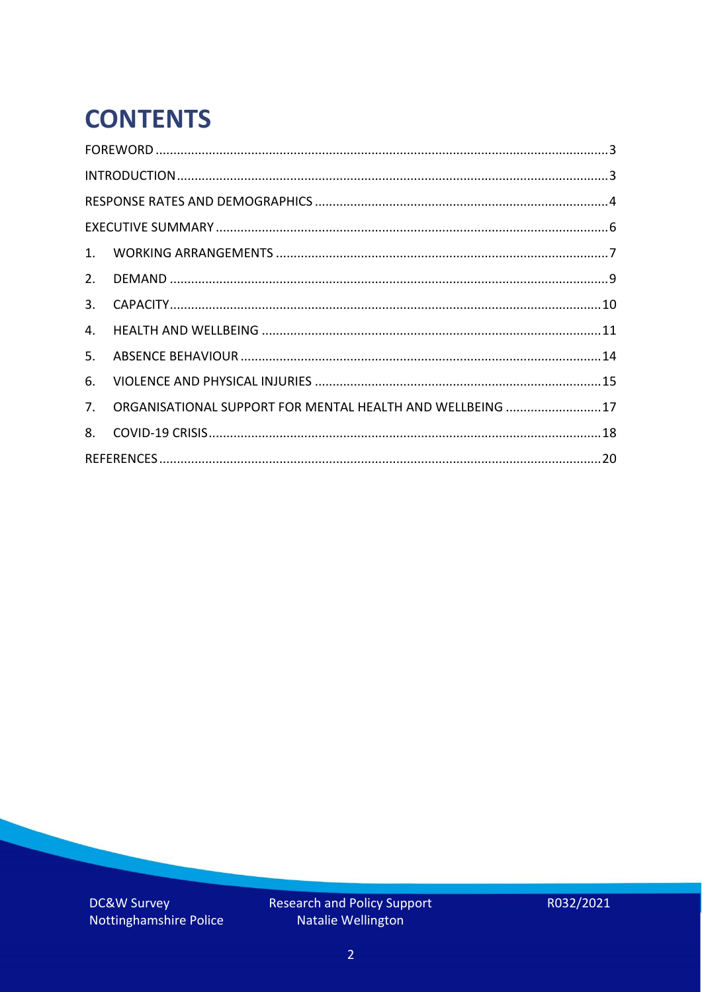# **CONTENTS**

| 4.          |                                                            |  |
|-------------|------------------------------------------------------------|--|
| 5.          |                                                            |  |
| 6.          |                                                            |  |
| $7_{\cdot}$ | ORGANISATIONAL SUPPORT FOR MENTAL HEALTH AND WELLBEING  17 |  |
| 8.          |                                                            |  |
|             |                                                            |  |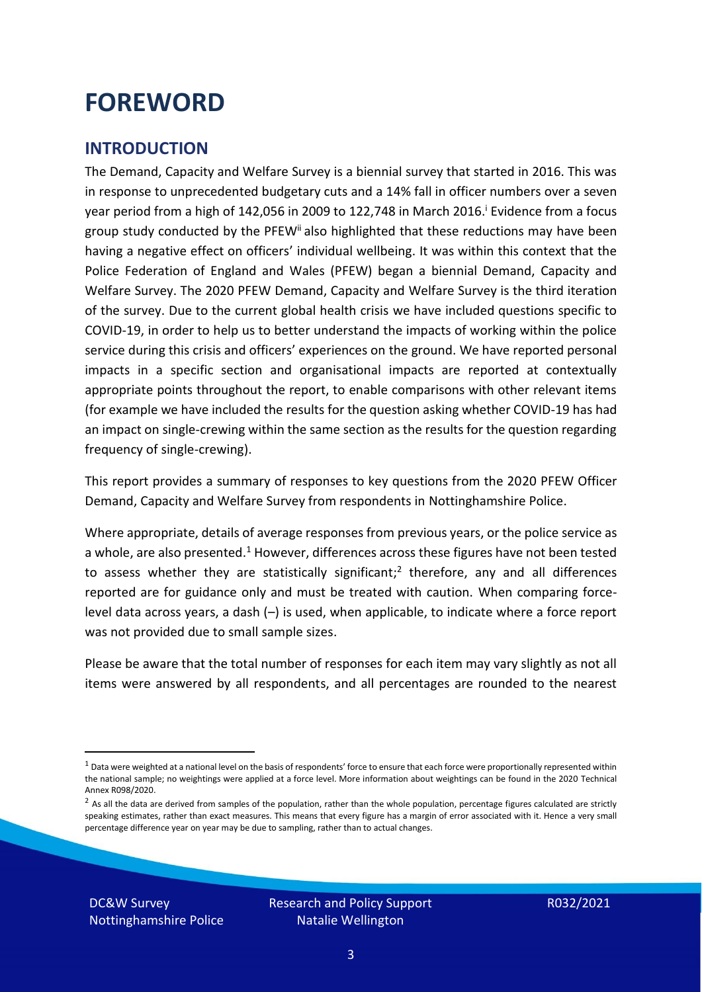### <span id="page-2-0"></span>**FOREWORD**

#### <span id="page-2-1"></span>**INTRODUCTION**

The Demand, Capacity and Welfare Survey is a biennial survey that started in 2016. This was in response to unprecedented budgetary cuts and a 14% fall in officer numbers over a seven year period from a high of 142,056 in 2009 to 122,748 in March 2016. <sup>i</sup> Evidence from a focus group study conducted by the PFEW<sup>ii</sup> also highlighted that these reductions may have been having a negative effect on officers' individual wellbeing. It was within this context that the Police Federation of England and Wales (PFEW) began a biennial Demand, Capacity and Welfare Survey. The 2020 PFEW Demand, Capacity and Welfare Survey is the third iteration of the survey. Due to the current global health crisis we have included questions specific to COVID-19, in order to help us to better understand the impacts of working within the police service during this crisis and officers' experiences on the ground. We have reported personal impacts in a specific section and organisational impacts are reported at contextually appropriate points throughout the report, to enable comparisons with other relevant items (for example we have included the results for the question asking whether COVID-19 has had an impact on single-crewing within the same section as the results for the question regarding frequency of single-crewing).

This report provides a summary of responses to key questions from the 2020 PFEW Officer Demand, Capacity and Welfare Survey from respondents in Nottinghamshire Police.

Where appropriate, details of average responses from previous years, or the police service as a whole, are also presented.<sup>1</sup> However, differences across these figures have not been tested to assess whether they are statistically significant;<sup>2</sup> therefore, any and all differences reported are for guidance only and must be treated with caution. When comparing forcelevel data across years, a dash (–) is used, when applicable, to indicate where a force report was not provided due to small sample sizes.

Please be aware that the total number of responses for each item may vary slightly as not all items were answered by all respondents, and all percentages are rounded to the nearest

DC&W Survey Nottinghamshire Police

 $1$  Data were weighted at a national level on the basis of respondents' force to ensure that each force were proportionally represented within the national sample; no weightings were applied at a force level. More information about weightings can be found in the 2020 Technical Annex R098/2020.

 $2$  As all the data are derived from samples of the population, rather than the whole population, percentage figures calculated are strictly speaking estimates, rather than exact measures. This means that every figure has a margin of error associated with it. Hence a very small percentage difference year on year may be due to sampling, rather than to actual changes.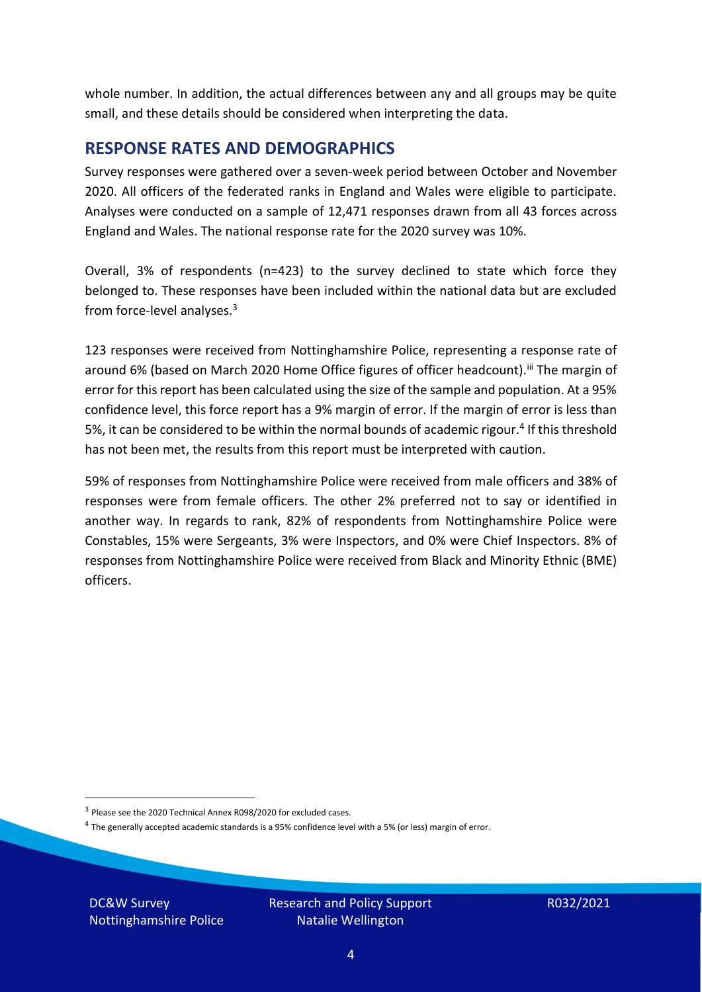whole number. In addition, the actual differences between any and all groups may be quite small, and these details should be considered when interpreting the data.

#### <span id="page-3-0"></span>**RESPONSE RATES AND DEMOGRAPHICS**

Survey responses were gathered over a seven-week period between October and November 2020. All officers of the federated ranks in England and Wales were eligible to participate. Analyses were conducted on a sample of 12,471 responses drawn from all 43 forces across England and Wales. The national response rate for the 2020 survey was 10%.

Overall, 3% of respondents (n=423) to the survey declined to state which force they belonged to. These responses have been included within the national data but are excluded from force-level analyses.<sup>3</sup>

123 responses were received from Nottinghamshire Police, representing a response rate of around 6% (based on March 2020 Home Office figures of officer headcount). III The margin of error for this report has been calculated using the size of the sample and population. At a 95% confidence level, this force report has a 9% margin of error. If the margin of error is less than 5%, it can be considered to be within the normal bounds of academic rigour.<sup>4</sup> If this threshold has not been met, the results from this report must be interpreted with caution.

59% of responses from Nottinghamshire Police were received from male officers and 38% of responses were from female officers. The other 2% preferred not to say or identified in another way. In regards to rank, 82% of respondents from Nottinghamshire Police were Constables, 15% were Sergeants, 3% were Inspectors, and 0% were Chief Inspectors. 8% of responses from Nottinghamshire Police were received from Black and Minority Ethnic (BME) officers.

DC&W Survey Nottinghamshire Police

<sup>&</sup>lt;sup>3</sup> Please see the 2020 Technical Annex R098/2020 for excluded cases.

<sup>&</sup>lt;sup>4</sup> The generally accepted academic standards is a 95% confidence level with a 5% (or less) margin of error.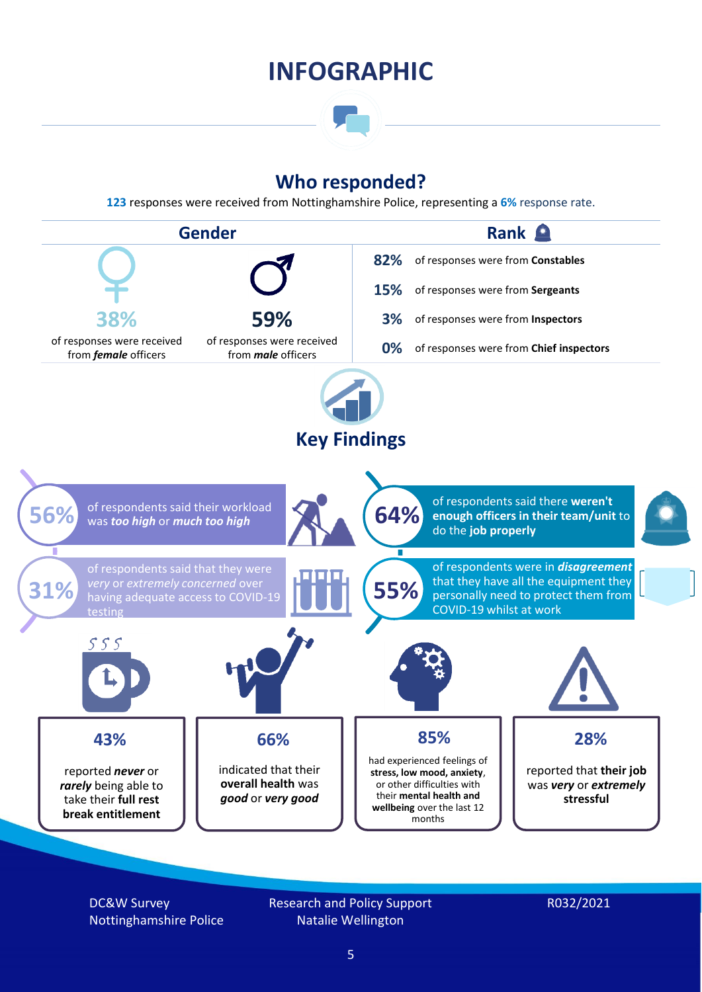### **INFOGRAPHIC**

### **Who responded?**

**123** responses were received from Nottinghamshire Police, representing a **6%** response rate.



DC&W Survey Nottinghamshire Police Research and Policy Support Natalie Wellington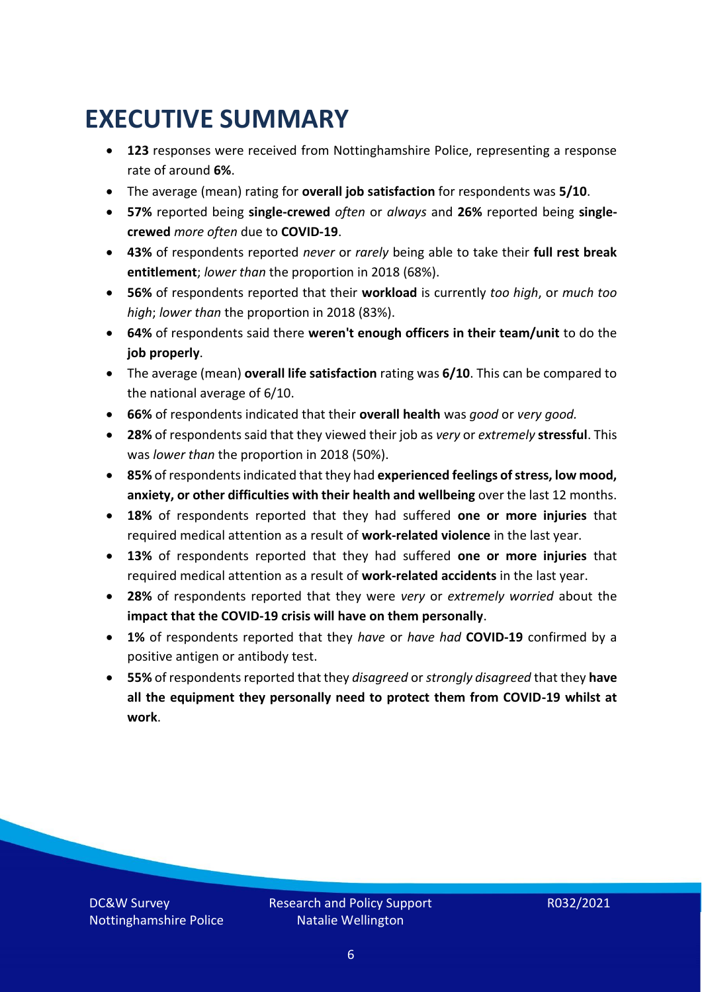### <span id="page-5-0"></span>**EXECUTIVE SUMMARY**

- **123** responses were received from Nottinghamshire Police, representing a response rate of around **6%**.
- The average (mean) rating for **overall job satisfaction** for respondents was **5/10**.
- **57%** reported being **single-crewed** *often* or *always* and **26%** reported being **singlecrewed** *more often* due to **COVID-19**.
- **43%** of respondents reported *never* or *rarely* being able to take their **full rest break entitlement**; *lower than* the proportion in 2018 (68%).
- **56%** of respondents reported that their **workload** is currently *too high*, or *much too high*; *lower than* the proportion in 2018 (83%).
- **64%** of respondents said there **weren't enough officers in their team/unit** to do the **job properly**.
- The average (mean) **overall life satisfaction** rating was **6/10**. This can be compared to the national average of 6/10.
- **66%** of respondents indicated that their **overall health** was *good* or *very good.*
- **28%** of respondents said that they viewed their job as *very* or *extremely* **stressful**. This was *lower than* the proportion in 2018 (50%).
- **85%** of respondents indicated that they had **experienced feelings of stress, low mood, anxiety, or other difficulties with their health and wellbeing** over the last 12 months.
- **18%** of respondents reported that they had suffered **one or more injuries** that required medical attention as a result of **work-related violence** in the last year.
- **13%** of respondents reported that they had suffered **one or more injuries** that required medical attention as a result of **work-related accidents** in the last year.
- **28%** of respondents reported that they were *very* or *extremely worried* about the **impact that the COVID-19 crisis will have on them personally**.
- **1%** of respondents reported that they *have* or *have had* **COVID-19** confirmed by a positive antigen or antibody test.
- **55%** of respondents reported that they *disagreed* or *strongly disagreed* that they **have all the equipment they personally need to protect them from COVID-19 whilst at work**.

DC&W Survey Nottinghamshire Police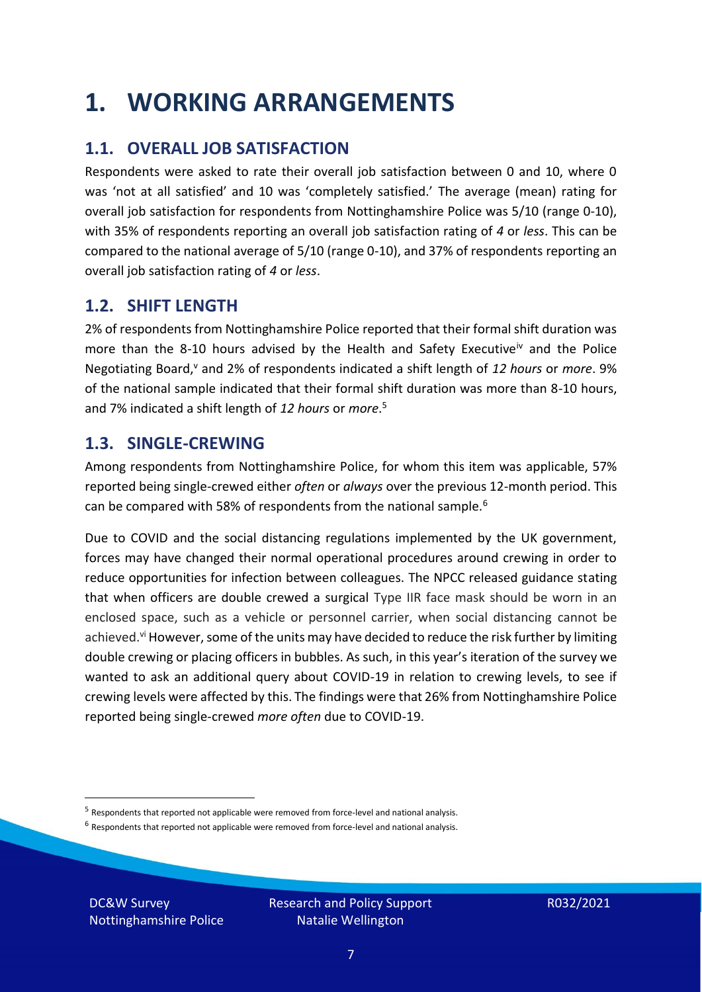### <span id="page-6-0"></span>**1. WORKING ARRANGEMENTS**

### **1.1. OVERALL JOB SATISFACTION**

Respondents were asked to rate their overall job satisfaction between 0 and 10, where 0 was 'not at all satisfied' and 10 was 'completely satisfied.' The average (mean) rating for overall job satisfaction for respondents from Nottinghamshire Police was 5/10 (range 0-10), with 35% of respondents reporting an overall job satisfaction rating of *4* or *less*. This can be compared to the national average of 5/10 (range 0-10), and 37% of respondents reporting an overall job satisfaction rating of *4* or *less*.

### **1.2. SHIFT LENGTH**

2% of respondents from Nottinghamshire Police reported that their formal shift duration was more than the 8-10 hours advised by the Health and Safety Executive<sup>iv</sup> and the Police Negotiating Board,<sup>v</sup> and 2% of respondents indicated a shift length of 12 hours or *more*. 9% of the national sample indicated that their formal shift duration was more than 8-10 hours, and 7% indicated a shift length of *12 hours* or *more*. 5

#### **1.3. SINGLE-CREWING**

Among respondents from Nottinghamshire Police, for whom this item was applicable, 57% reported being single-crewed either *often* or *always* over the previous 12-month period. This can be compared with 58% of respondents from the national sample.<sup>6</sup>

Due to COVID and the social distancing regulations implemented by the UK government, forces may have changed their normal operational procedures around crewing in order to reduce opportunities for infection between colleagues. The NPCC released guidance stating that when officers are double crewed a surgical Type IIR face mask should be worn in an enclosed space, such as a vehicle or personnel carrier, when social distancing cannot be achieved.<sup>vi</sup> However, some of the units may have decided to reduce the risk further by limiting double crewing or placing officers in bubbles. As such, in this year's iteration of the survey we wanted to ask an additional query about COVID-19 in relation to crewing levels, to see if crewing levels were affected by this. The findings were that 26% from Nottinghamshire Police reported being single-crewed *more often* due to COVID-19.

 $<sup>6</sup>$  Respondents that reported not applicable were removed from force-level and national analysis.</sup>

DC&W Survey Nottinghamshire Police

<sup>&</sup>lt;sup>5</sup> Respondents that reported not applicable were removed from force-level and national analysis.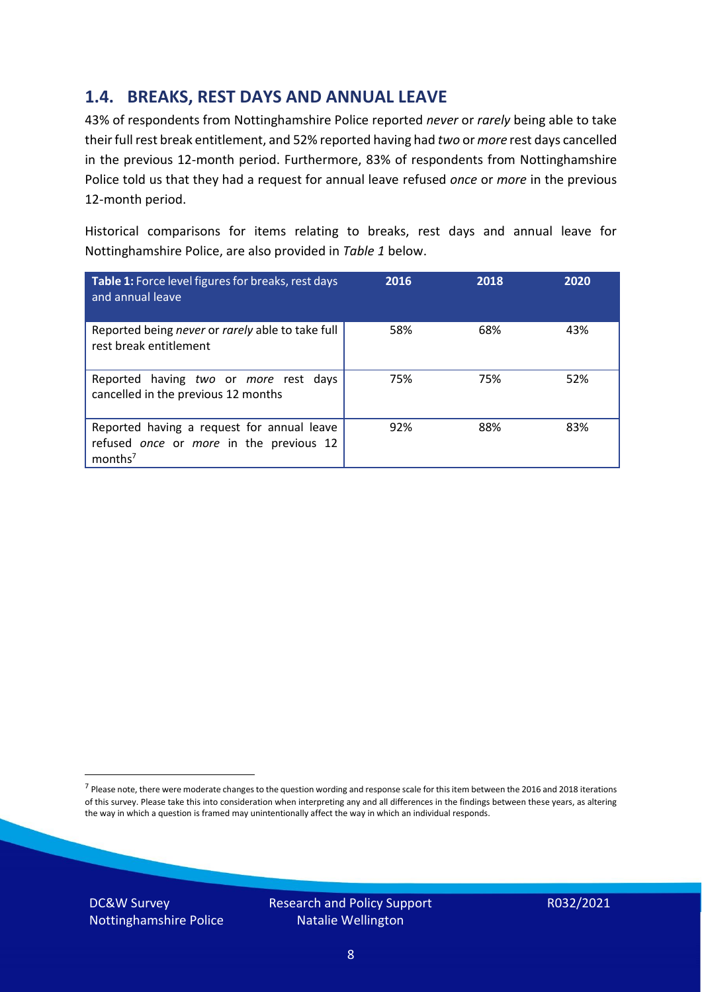### **1.4. BREAKS, REST DAYS AND ANNUAL LEAVE**

43% of respondents from Nottinghamshire Police reported *never* or *rarely* being able to take their full rest break entitlement, and 52% reported having had *two* or *more* rest days cancelled in the previous 12-month period. Furthermore, 83% of respondents from Nottinghamshire Police told us that they had a request for annual leave refused *once* or *more* in the previous 12-month period.

Historical comparisons for items relating to breaks, rest days and annual leave for Nottinghamshire Police, are also provided in *Table 1* below.

| Table 1: Force level figures for breaks, rest days<br>and annual leave                                       | 2016 | 2018 | 2020 |
|--------------------------------------------------------------------------------------------------------------|------|------|------|
| Reported being never or rarely able to take full<br>rest break entitlement                                   | 58%  | 68%  | 43%  |
| Reported having two or more rest days<br>cancelled in the previous 12 months                                 | 75%  | 75%  | 52%  |
| Reported having a request for annual leave<br>refused once or more in the previous 12<br>months <sup>7</sup> | 92%  | 88%  | 83%  |

DC&W Survey Nottinghamshire Police



<sup>&</sup>lt;sup>7</sup> Please note, there were moderate changes to the question wording and response scale for this item between the 2016 and 2018 iterations of this survey. Please take this into consideration when interpreting any and all differences in the findings between these years, as altering the way in which a question is framed may unintentionally affect the way in which an individual responds.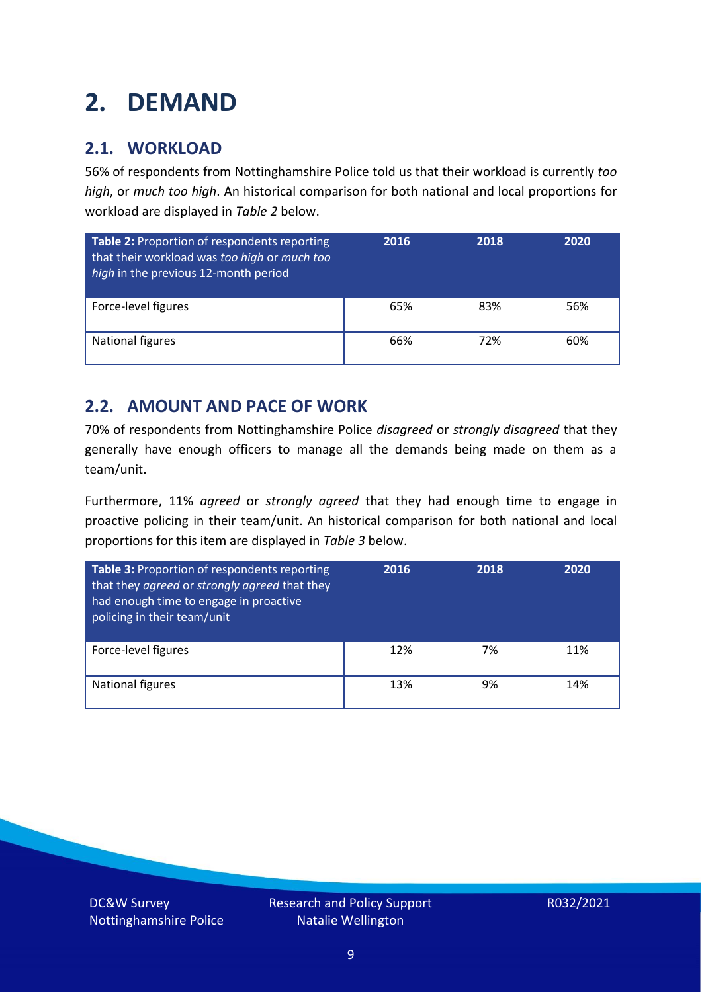### <span id="page-8-0"></span>**2. DEMAND**

### **2.1. WORKLOAD**

56% of respondents from Nottinghamshire Police told us that their workload is currently *too high*, or *much too high*. An historical comparison for both national and local proportions for workload are displayed in *Table 2* below.

| Table 2: Proportion of respondents reporting<br>that their workload was too high or much too<br>high in the previous 12-month period | 2016 | 2018 | 2020 |
|--------------------------------------------------------------------------------------------------------------------------------------|------|------|------|
| Force-level figures                                                                                                                  | 65%  | 83%  | 56%  |
| National figures                                                                                                                     | 66%  | 72%  | 60%  |

### **2.2. AMOUNT AND PACE OF WORK**

70% of respondents from Nottinghamshire Police *disagreed* or *strongly disagreed* that they generally have enough officers to manage all the demands being made on them as a team/unit.

Furthermore, 11% *agreed* or *strongly agreed* that they had enough time to engage in proactive policing in their team/unit. An historical comparison for both national and local proportions for this item are displayed in *Table 3* below.

| Table 3: Proportion of respondents reporting<br>that they agreed or strongly agreed that they<br>had enough time to engage in proactive<br>policing in their team/unit | 2016 | 2018 | 2020 |
|------------------------------------------------------------------------------------------------------------------------------------------------------------------------|------|------|------|
| Force-level figures                                                                                                                                                    | 12%  | 7%   | 11%  |
| National figures                                                                                                                                                       | 13%  | 9%   | 14%  |

DC&W Survey Nottinghamshire Police Research and Policy Support Natalie Wellington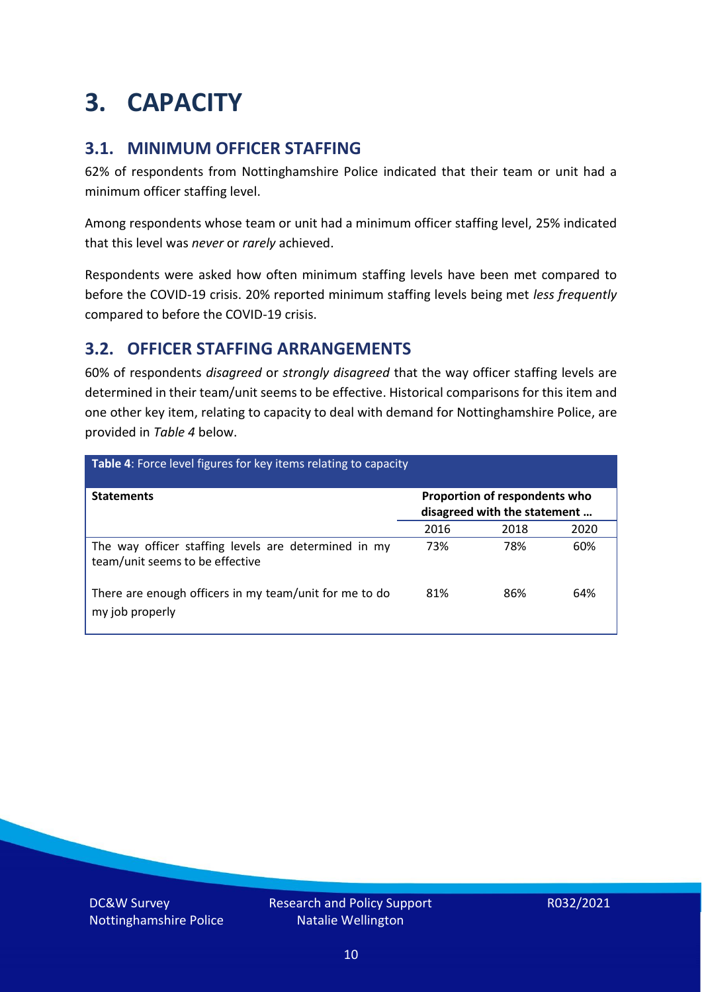### <span id="page-9-0"></span>**3. CAPACITY**

### **3.1. MINIMUM OFFICER STAFFING**

62% of respondents from Nottinghamshire Police indicated that their team or unit had a minimum officer staffing level.

Among respondents whose team or unit had a minimum officer staffing level, 25% indicated that this level was *never* or *rarely* achieved.

Respondents were asked how often minimum staffing levels have been met compared to before the COVID-19 crisis. 20% reported minimum staffing levels being met *less frequently* compared to before the COVID-19 crisis.

### **3.2. OFFICER STAFFING ARRANGEMENTS**

60% of respondents *disagreed* or *strongly disagreed* that the way officer staffing levels are determined in their team/unit seems to be effective. Historical comparisons for this item and one other key item, relating to capacity to deal with demand for Nottinghamshire Police, are provided in *Table 4* below.

| Table 4: Force level figures for key items relating to capacity                         |                                                               |      |      |  |
|-----------------------------------------------------------------------------------------|---------------------------------------------------------------|------|------|--|
| <b>Statements</b>                                                                       | Proportion of respondents who<br>disagreed with the statement |      |      |  |
|                                                                                         | 2016                                                          | 2018 | 2020 |  |
| The way officer staffing levels are determined in my<br>team/unit seems to be effective | 73%                                                           | 78%  | 60%  |  |
| There are enough officers in my team/unit for me to do<br>my job properly               | 81%                                                           | 86%  | 64%  |  |

DC&W Survey Nottinghamshire Police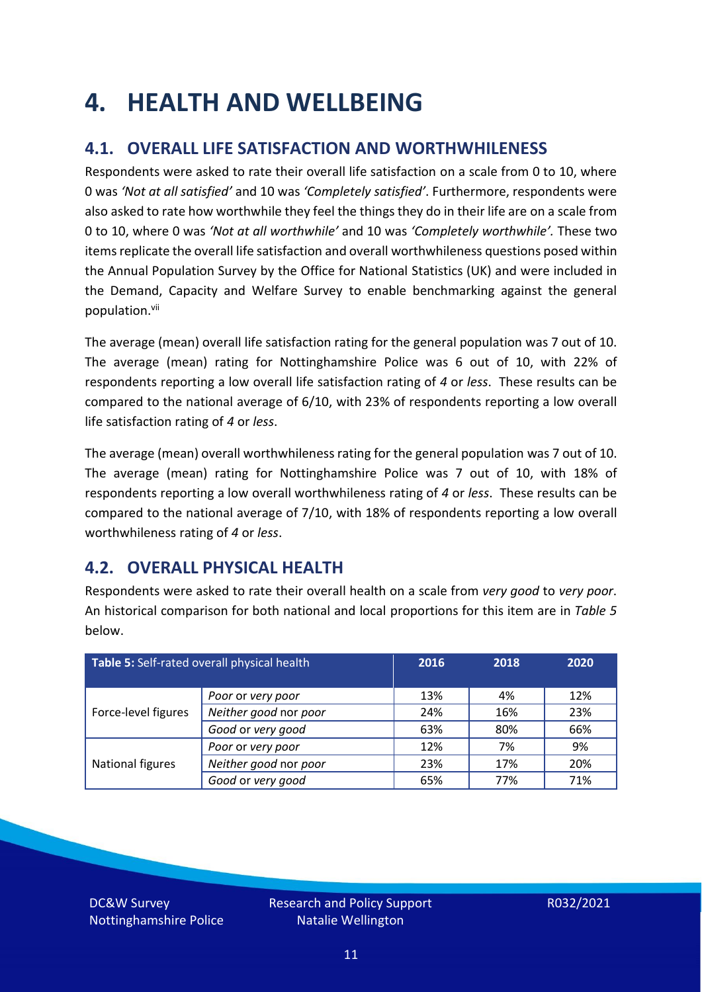### <span id="page-10-0"></span>**4. HEALTH AND WELLBEING**

### **4.1. OVERALL LIFE SATISFACTION AND WORTHWHILENESS**

Respondents were asked to rate their overall life satisfaction on a scale from 0 to 10, where 0 was *'Not at all satisfied'* and 10 was *'Completely satisfied'*. Furthermore, respondents were also asked to rate how worthwhile they feel the things they do in their life are on a scale from 0 to 10, where 0 was *'Not at all worthwhile'* and 10 was *'Completely worthwhile'.* These two items replicate the overall life satisfaction and overall worthwhileness questions posed within the Annual Population Survey by the Office for National Statistics (UK) and were included in the Demand, Capacity and Welfare Survey to enable benchmarking against the general population. vii

The average (mean) overall life satisfaction rating for the general population was 7 out of 10. The average (mean) rating for Nottinghamshire Police was 6 out of 10, with 22% of respondents reporting a low overall life satisfaction rating of *4* or *less*. These results can be compared to the national average of 6/10, with 23% of respondents reporting a low overall life satisfaction rating of *4* or *less*.

The average (mean) overall worthwhileness rating for the general population was 7 out of 10. The average (mean) rating for Nottinghamshire Police was 7 out of 10, with 18% of respondents reporting a low overall worthwhileness rating of *4* or *less*. These results can be compared to the national average of 7/10, with 18% of respondents reporting a low overall worthwhileness rating of *4* or *less*.

### **4.2. OVERALL PHYSICAL HEALTH**

Respondents were asked to rate their overall health on a scale from *very good* to *very poor*. An historical comparison for both national and local proportions for this item are in *Table 5* below.

| Table 5: Self-rated overall physical health |                       | 2016 | 2018 | 2020 |
|---------------------------------------------|-----------------------|------|------|------|
|                                             | Poor or very poor     | 13%  | 4%   | 12%  |
| Force-level figures                         | Neither good nor poor | 24%  | 16%  | 23%  |
|                                             | Good or very good     | 63%  | 80%  | 66%  |
|                                             | Poor or very poor     | 12%  | 7%   | 9%   |
| National figures                            | Neither good nor poor | 23%  | 17%  | 20%  |
|                                             | Good or very good     | 65%  | 77%  | 71%  |

DC&W Survey Nottinghamshire Police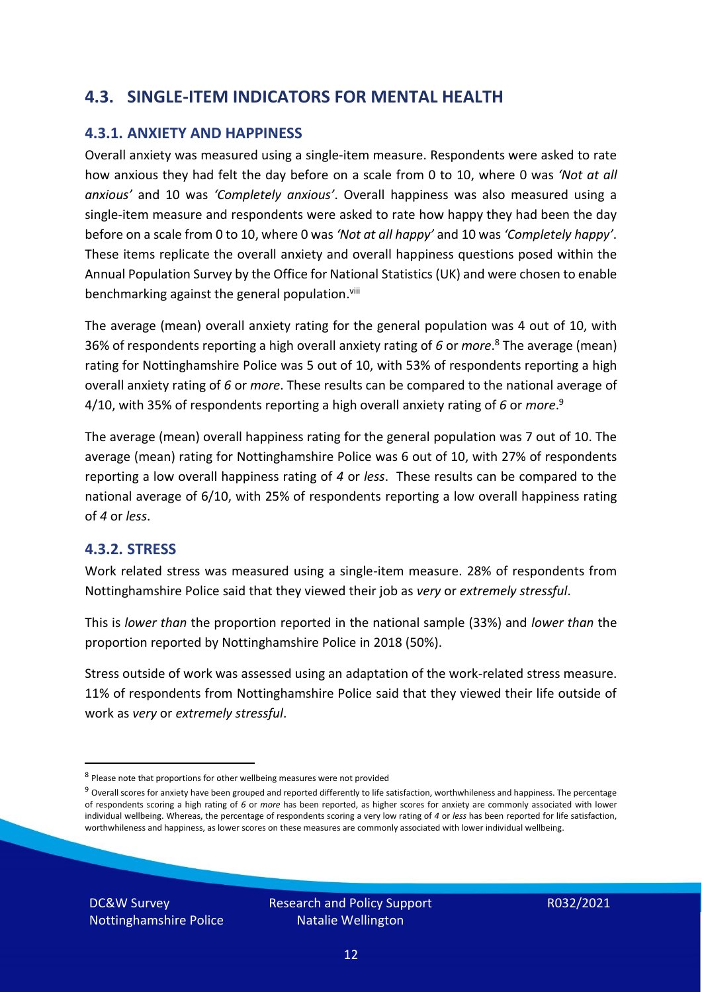### **4.3. SINGLE-ITEM INDICATORS FOR MENTAL HEALTH**

#### **4.3.1. ANXIETY AND HAPPINESS**

Overall anxiety was measured using a single-item measure. Respondents were asked to rate how anxious they had felt the day before on a scale from 0 to 10, where 0 was *'Not at all anxious'* and 10 was *'Completely anxious'*. Overall happiness was also measured using a single-item measure and respondents were asked to rate how happy they had been the day before on a scale from 0 to 10, where 0 was *'Not at all happy'* and 10 was *'Completely happy'*. These items replicate the overall anxiety and overall happiness questions posed within the Annual Population Survey by the Office for National Statistics (UK) and were chosen to enable benchmarking against the general population.<sup>viii</sup>

The average (mean) overall anxiety rating for the general population was 4 out of 10, with 36% of respondents reporting a high overall anxiety rating of *6* or *more*. <sup>8</sup> The average (mean) rating for Nottinghamshire Police was 5 out of 10, with 53% of respondents reporting a high overall anxiety rating of *6* or *more*. These results can be compared to the national average of 4/10, with 35% of respondents reporting a high overall anxiety rating of *6* or *more*. 9

The average (mean) overall happiness rating for the general population was 7 out of 10. The average (mean) rating for Nottinghamshire Police was 6 out of 10, with 27% of respondents reporting a low overall happiness rating of *4* or *less*. These results can be compared to the national average of 6/10, with 25% of respondents reporting a low overall happiness rating of *4* or *less*.

#### **4.3.2. STRESS**

Work related stress was measured using a single-item measure. 28% of respondents from Nottinghamshire Police said that they viewed their job as *very* or *extremely stressful*.

This is *lower than* the proportion reported in the national sample (33%) and *lower than* the proportion reported by Nottinghamshire Police in 2018 (50%).

Stress outside of work was assessed using an adaptation of the work-related stress measure. 11% of respondents from Nottinghamshire Police said that they viewed their life outside of work as *very* or *extremely stressful*.

DC&W Survey Nottinghamshire Police

<sup>&</sup>lt;sup>8</sup> Please note that proportions for other wellbeing measures were not provided

 $9$  Overall scores for anxiety have been grouped and reported differently to life satisfaction, worthwhileness and happiness. The percentage of respondents scoring a high rating of *6* or *more* has been reported, as higher scores for anxiety are commonly associated with lower individual wellbeing. Whereas, the percentage of respondents scoring a very low rating of *4* or *less* has been reported for life satisfaction, worthwhileness and happiness, as lower scores on these measures are commonly associated with lower individual wellbeing.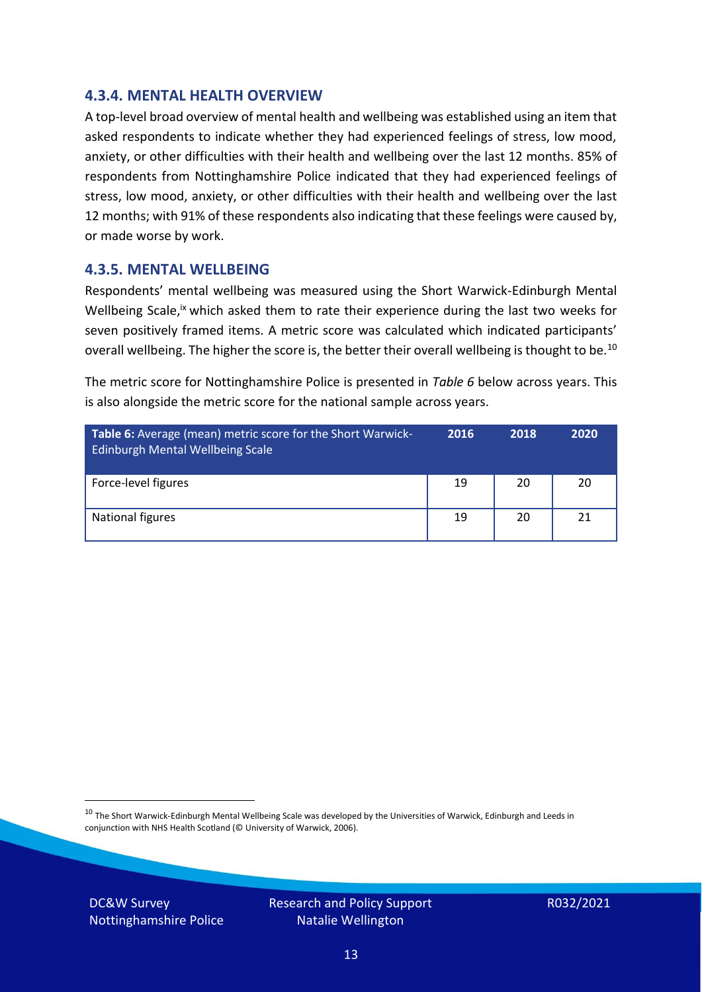#### **4.3.4. MENTAL HEALTH OVERVIEW**

A top-level broad overview of mental health and wellbeing was established using an item that asked respondents to indicate whether they had experienced feelings of stress, low mood, anxiety, or other difficulties with their health and wellbeing over the last 12 months. 85% of respondents from Nottinghamshire Police indicated that they had experienced feelings of stress, low mood, anxiety, or other difficulties with their health and wellbeing over the last 12 months; with 91% of these respondents also indicating that these feelings were caused by, or made worse by work.

#### **4.3.5. MENTAL WELLBEING**

Respondents' mental wellbeing was measured using the Short Warwick-Edinburgh Mental Wellbeing Scale,<sup>ix</sup> which asked them to rate their experience during the last two weeks for seven positively framed items. A metric score was calculated which indicated participants' overall wellbeing. The higher the score is, the better their overall wellbeing is thought to be.<sup>10</sup>

The metric score for Nottinghamshire Police is presented in *Table 6* below across years. This is also alongside the metric score for the national sample across years.

| <b>Table 6:</b> Average (mean) metric score for the Short Warwick-<br>Edinburgh Mental Wellbeing Scale | 2016 | 2018 | 2020 |
|--------------------------------------------------------------------------------------------------------|------|------|------|
| Force-level figures                                                                                    | 19   | 20   | 20   |
| National figures                                                                                       | 19   | 20   | 21   |

 $10$  The Short Warwick-Edinburgh Mental Wellbeing Scale was developed by the Universities of Warwick, Edinburgh and Leeds in conjunction with NHS Health Scotland (© University of Warwick, 2006).

DC&W Survey Nottinghamshire Police Research and Policy Support Natalie Wellington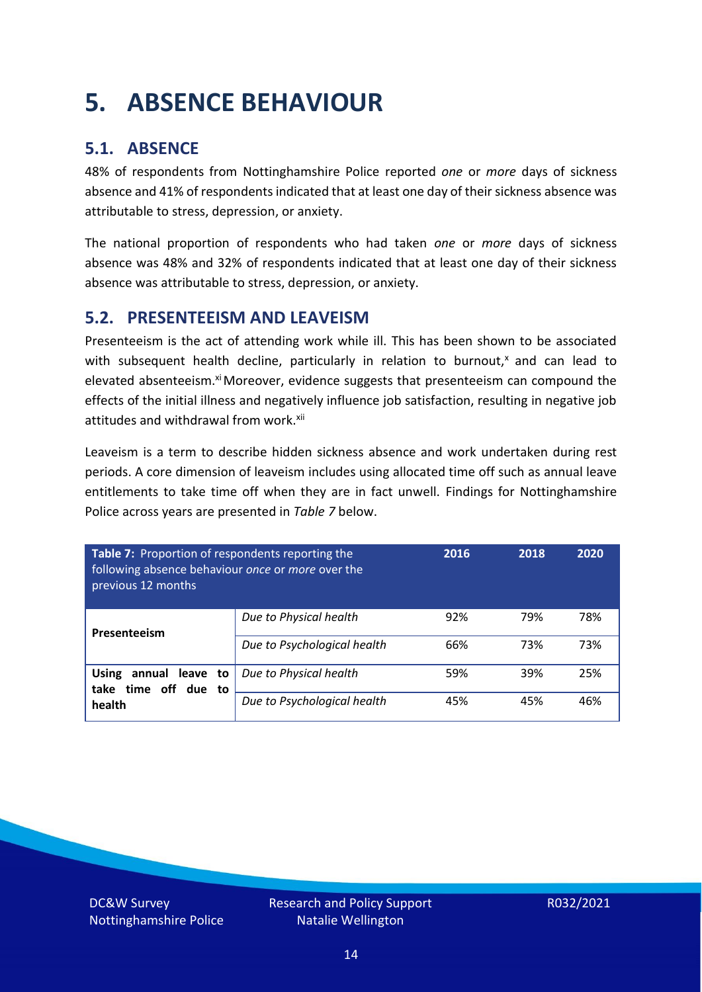### <span id="page-13-0"></span>**5. ABSENCE BEHAVIOUR**

### **5.1. ABSENCE**

48% of respondents from Nottinghamshire Police reported *one* or *more* days of sickness absence and 41% of respondents indicated that at least one day of their sickness absence was attributable to stress, depression, or anxiety.

The national proportion of respondents who had taken *one* or *more* days of sickness absence was 48% and 32% of respondents indicated that at least one day of their sickness absence was attributable to stress, depression, or anxiety.

#### **5.2. PRESENTEEISM AND LEAVEISM**

Presenteeism is the act of attending work while ill. This has been shown to be associated with subsequent health decline, particularly in relation to burnout, $x$  and can lead to elevated absenteeism.<sup>xi</sup> Moreover, evidence suggests that presenteeism can compound the effects of the initial illness and negatively influence job satisfaction, resulting in negative job attitudes and withdrawal from work.<sup>xii</sup>

Leaveism is a term to describe hidden sickness absence and work undertaken during rest periods. A core dimension of leaveism includes using allocated time off such as annual leave entitlements to take time off when they are in fact unwell. Findings for Nottinghamshire Police across years are presented in *Table 7* below.

| Table 7: Proportion of respondents reporting the<br>following absence behaviour once or more over the<br>previous 12 months |                             | 2016 | 2018 | 2020 |
|-----------------------------------------------------------------------------------------------------------------------------|-----------------------------|------|------|------|
| Presenteeism                                                                                                                | Due to Physical health      | 92%  | 79%  | 78%  |
|                                                                                                                             | Due to Psychological health | 66%  | 73%  | 73%  |
| annual leave to<br><b>Using</b><br>time off due to<br>take                                                                  | Due to Physical health      | 59%  | 39%  | 25%  |
| health                                                                                                                      | Due to Psychological health | 45%  | 45%  | 46%  |

DC&W Survey Nottinghamshire Police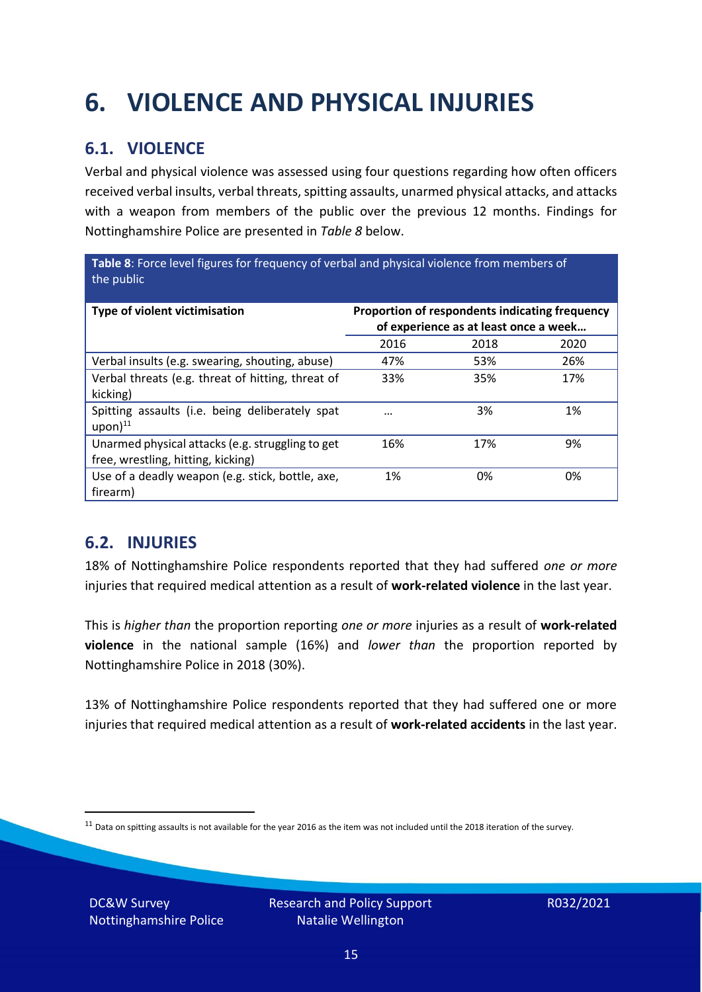## <span id="page-14-0"></span>**6. VIOLENCE AND PHYSICAL INJURIES**

### **6.1. VIOLENCE**

Verbal and physical violence was assessed using four questions regarding how often officers received verbal insults, verbal threats, spitting assaults, unarmed physical attacks, and attacks with a weapon from members of the public over the previous 12 months. Findings for Nottinghamshire Police are presented in *Table 8* below.

**Table 8**: Force level figures for frequency of verbal and physical violence from members of the public

| Type of violent victimisation                                                          | Proportion of respondents indicating frequency<br>of experience as at least once a week |      |      |
|----------------------------------------------------------------------------------------|-----------------------------------------------------------------------------------------|------|------|
|                                                                                        | 2016                                                                                    | 2018 | 2020 |
| Verbal insults (e.g. swearing, shouting, abuse)                                        | 47%                                                                                     | 53%  | 26%  |
| Verbal threats (e.g. threat of hitting, threat of<br>kicking)                          | 33%                                                                                     | 35%  | 17%  |
| Spitting assaults (i.e. being deliberately spat<br>$upon)$ <sup>11</sup>               | $\cdots$                                                                                | 3%   | 1%   |
| Unarmed physical attacks (e.g. struggling to get<br>free, wrestling, hitting, kicking) | 16%                                                                                     | 17%  | 9%   |
| Use of a deadly weapon (e.g. stick, bottle, axe,<br>firearm)                           | 1%                                                                                      | 0%   | 0%   |

### **6.2. INJURIES**

18% of Nottinghamshire Police respondents reported that they had suffered *one or more* injuries that required medical attention as a result of **work-related violence** in the last year.

This is *higher than* the proportion reporting *one or more* injuries as a result of **work-related violence** in the national sample (16%) and *lower than* the proportion reported by Nottinghamshire Police in 2018 (30%).

13% of Nottinghamshire Police respondents reported that they had suffered one or more injuries that required medical attention as a result of **work-related accidents** in the last year.

DC&W Survey Nottinghamshire Police

 $11$  Data on spitting assaults is not available for the year 2016 as the item was not included until the 2018 iteration of the survey.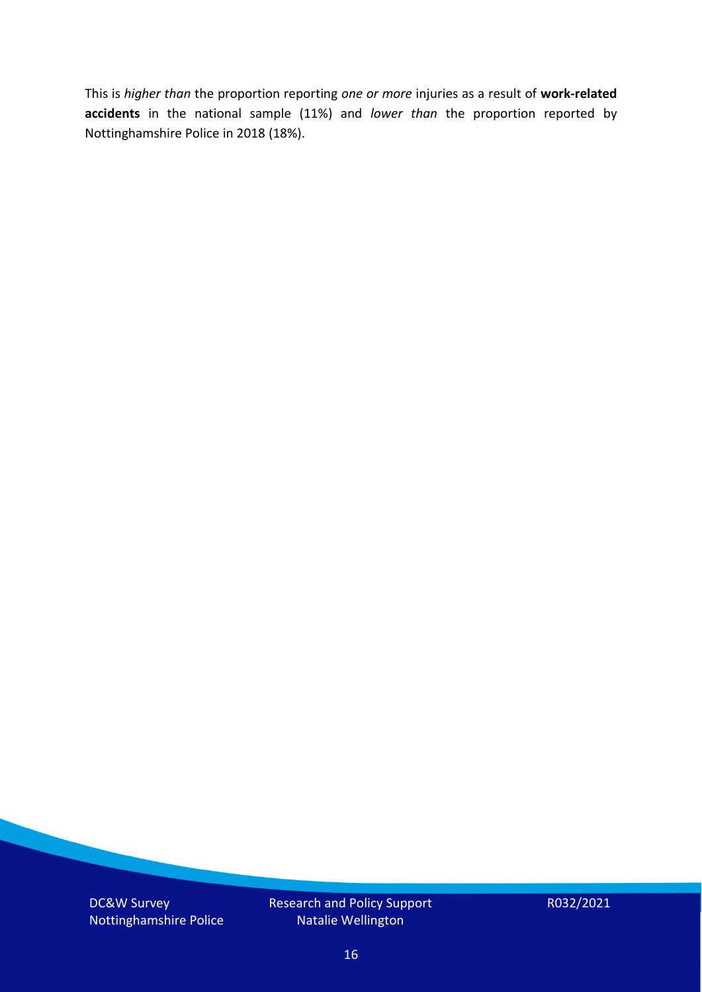This is *higher than* the proportion reporting *one or more* injuries as a result of **work-related accidents** in the national sample (11%) and *lower than* the proportion reported by Nottinghamshire Police in 2018 (18%).

DC&W Survey Nottinghamshire Police Research and Policy Support Natalie Wellington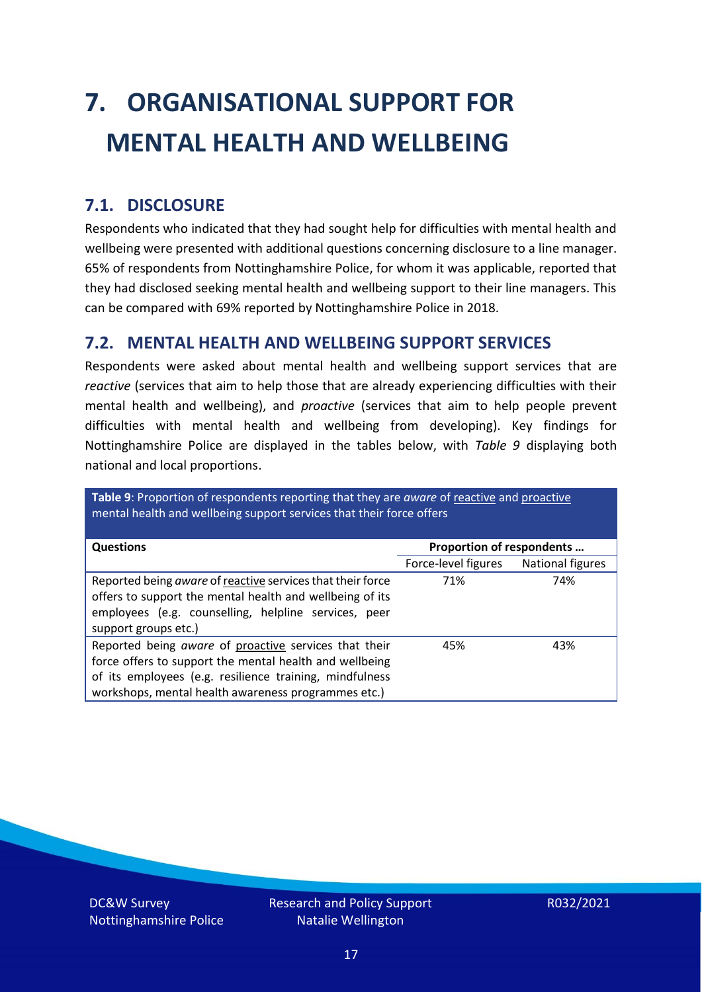# <span id="page-16-0"></span>**7. ORGANISATIONAL SUPPORT FOR MENTAL HEALTH AND WELLBEING**

### **7.1. DISCLOSURE**

Respondents who indicated that they had sought help for difficulties with mental health and wellbeing were presented with additional questions concerning disclosure to a line manager. 65% of respondents from Nottinghamshire Police, for whom it was applicable, reported that they had disclosed seeking mental health and wellbeing support to their line managers. This can be compared with 69% reported by Nottinghamshire Police in 2018.

#### **7.2. MENTAL HEALTH AND WELLBEING SUPPORT SERVICES**

Respondents were asked about mental health and wellbeing support services that are *reactive* (services that aim to help those that are already experiencing difficulties with their mental health and wellbeing), and *proactive* (services that aim to help people prevent difficulties with mental health and wellbeing from developing). Key findings for Nottinghamshire Police are displayed in the tables below, with *Table 9* displaying both national and local proportions.

**Table 9**: Proportion of respondents reporting that they are *aware* of reactive and proactive mental health and wellbeing support services that their force offers

| <b>Questions</b>                                                                                                                                                                                                                   | Proportion of respondents |                         |
|------------------------------------------------------------------------------------------------------------------------------------------------------------------------------------------------------------------------------------|---------------------------|-------------------------|
|                                                                                                                                                                                                                                    | Force-level figures       | <b>National figures</b> |
| Reported being aware of reactive services that their force<br>offers to support the mental health and wellbeing of its<br>employees (e.g. counselling, helpline services, peer<br>support groups etc.)                             | 71%                       | 74%                     |
| Reported being aware of proactive services that their<br>force offers to support the mental health and wellbeing<br>of its employees (e.g. resilience training, mindfulness<br>workshops, mental health awareness programmes etc.) | 45%                       | 43%                     |

DC&W Survey Nottinghamshire Police Research and Policy Support Natalie Wellington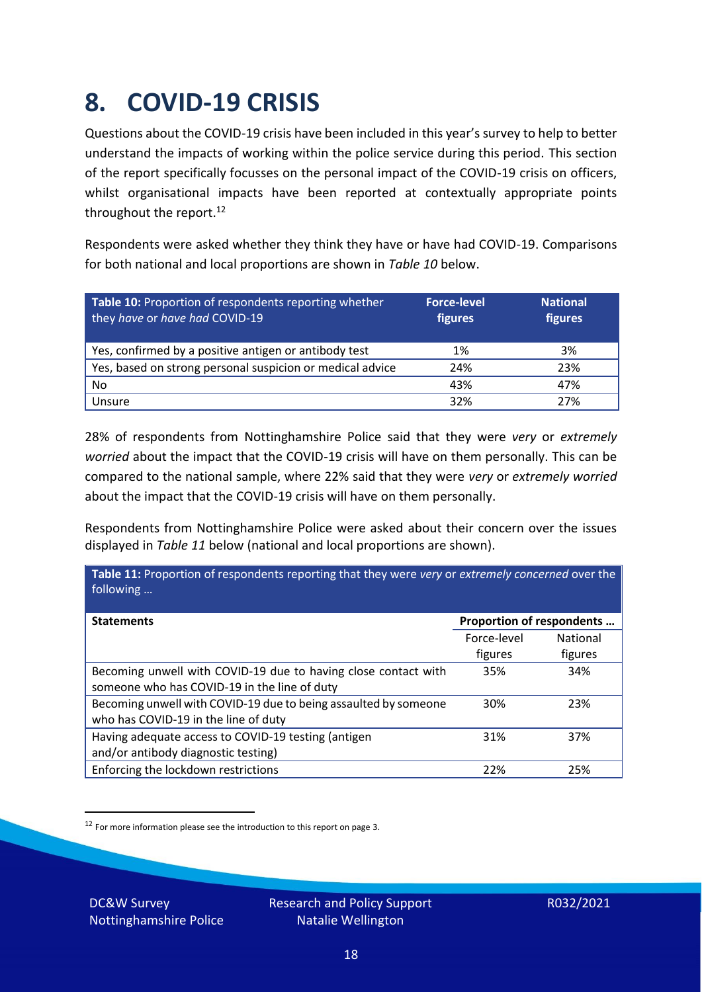### <span id="page-17-0"></span>**8. COVID-19 CRISIS**

Questions about the COVID-19 crisis have been included in this year's survey to help to better understand the impacts of working within the police service during this period. This section of the report specifically focusses on the personal impact of the COVID-19 crisis on officers, whilst organisational impacts have been reported at contextually appropriate points throughout the report.<sup>12</sup>

Respondents were asked whether they think they have or have had COVID-19. Comparisons for both national and local proportions are shown in *Table 10* below.

| Table 10: Proportion of respondents reporting whether<br>they have or have had COVID-19 | <b>Force-level</b><br>figures | <b>National</b><br>figures |
|-----------------------------------------------------------------------------------------|-------------------------------|----------------------------|
| Yes, confirmed by a positive antigen or antibody test                                   | 1%                            | 3%                         |
| Yes, based on strong personal suspicion or medical advice                               | 24%                           | 23%                        |
| No                                                                                      | 43%                           | 47%                        |
| Unsure                                                                                  | 32%                           | 27%                        |

28% of respondents from Nottinghamshire Police said that they were *very* or *extremely worried* about the impact that the COVID-19 crisis will have on them personally. This can be compared to the national sample, where 22% said that they were *very* or *extremely worried* about the impact that the COVID-19 crisis will have on them personally.

Respondents from Nottinghamshire Police were asked about their concern over the issues displayed in *Table 11* below (national and local proportions are shown).

| Table 11: Proportion of respondents reporting that they were very or extremely concerned over the<br>following |                           |                 |
|----------------------------------------------------------------------------------------------------------------|---------------------------|-----------------|
| <b>Statements</b>                                                                                              | Proportion of respondents |                 |
|                                                                                                                | Force-level               | <b>National</b> |
|                                                                                                                | figures                   | figures         |
| Becoming unwell with COVID-19 due to having close contact with                                                 | 35%                       | 34%             |
| someone who has COVID-19 in the line of duty                                                                   |                           |                 |
| Becoming unwell with COVID-19 due to being assaulted by someone                                                | 30%                       | 23%             |
| who has COVID-19 in the line of duty                                                                           |                           |                 |
| Having adequate access to COVID-19 testing (antigen                                                            | 31%                       | 37%             |
| and/or antibody diagnostic testing)                                                                            |                           |                 |
| Enforcing the lockdown restrictions                                                                            | 22%                       | 25%             |

<sup>12</sup> For more information please see the introduction to this report on page 3.

DC&W Survey Nottinghamshire Police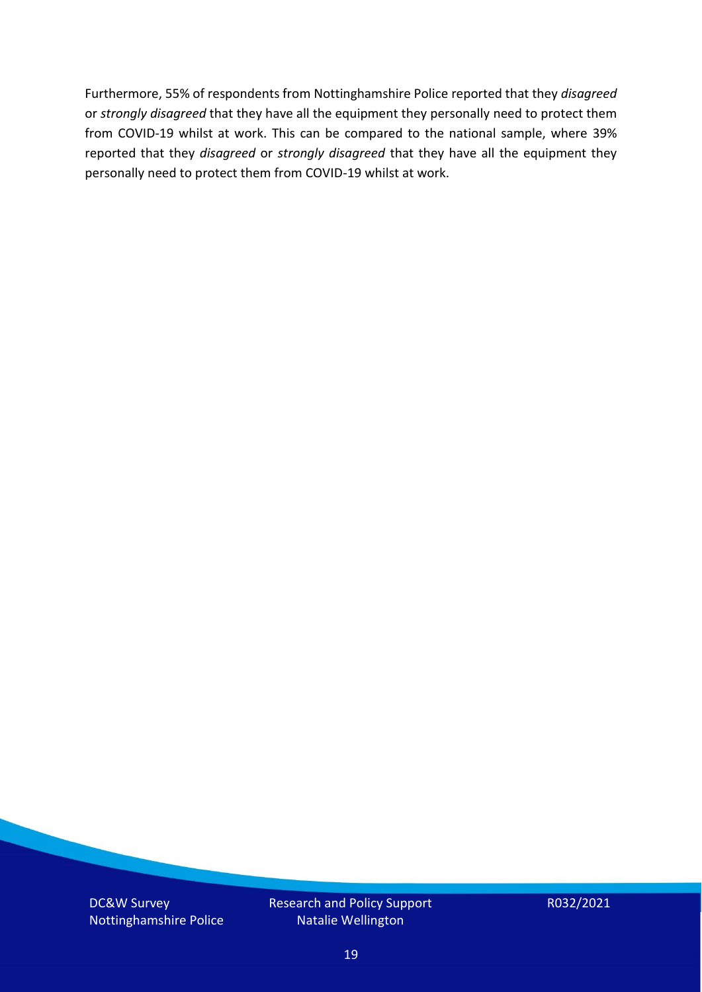Furthermore, 55% of respondents from Nottinghamshire Police reported that they *disagreed*  or *strongly disagreed* that they have all the equipment they personally need to protect them from COVID-19 whilst at work. This can be compared to the national sample, where 39% reported that they *disagreed* or *strongly disagreed* that they have all the equipment they personally need to protect them from COVID-19 whilst at work.

DC&W Survey Nottinghamshire Police Research and Policy Support Natalie Wellington